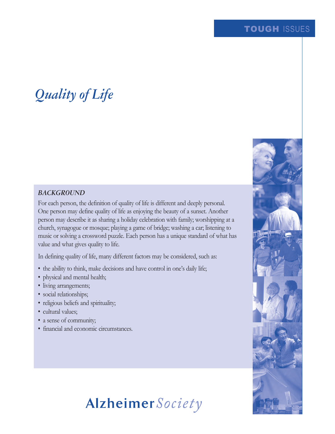## TOUGH ISSUES

# *Quality of Life*

#### *BACKGROUND*

For each person, the definition of quality of life is different and deeply personal. One person may define quality of life as enjoying the beauty of a sunset. Another person may describe it as sharing a holiday celebration with family; worshipping at a church, synagogue or mosque; playing a game of bridge; washing a car; listening to music or solving a crossword puzzle. Each person has a unique standard of what has value and what gives quality to life.

In defining quality of life, many different factors may be considered, such as:

- the ability to think, make decisions and have control in one's daily life;
- physical and mental health;
- living arrangements;
- social relationships;
- religious beliefs and spirituality;
- cultural values;
- a sense of community;
- financial and economic circumstances.



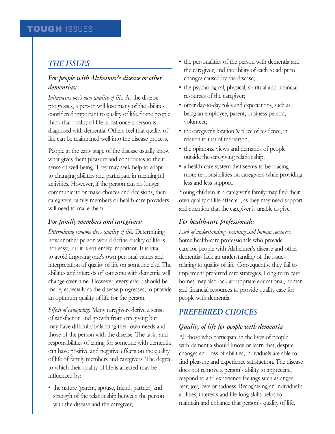## *THE ISSUES*

### *For people with Alzheimer's disease or other dementias:*

*Influencing one's own quality of life:* As the disease progresses, a person will lose many of the abilities considered important to quality of life. Some people think that quality of life is lost once a person is diagnosed with dementia. Others feel that quality of life can be maintained well into the disease process.

People at the early stage of the disease usually know what gives them pleasure and contributes to their sense of well-being. They may seek help to adapt to changing abilities and participate in meaningful activities. However, if the person can no longer communicate or make choices and decisions, then caregivers, family members or health-care providers will need to make them.

### *For family members and caregivers:*

*Determining someone else's quality of life:* Determining how another person would define quality of life is not easy, but it is extremely important. It is vital to avoid imposing one's own personal values and interpretation of quality of life on someone else. The abilities and interests of someone with dementia will change over time. However, every effort should be made, especially as the disease progresses, to provide an optimum quality of life for the person.

*Effects of caregiving:* Many caregivers derive a sense of satisfaction and growth from caregiving but may have difficulty balancing their own needs and those of the person with the disease. The tasks and responsibilities of caring for someone with dementia can have positive and negative effects on the quality of life of family members and caregivers. The degree to which their quality of life is affected may be influenced by:

• the nature (parent, spouse, friend, partner) and strength of the relationship between the person with the disease and the caregiver;

- the personalities of the person with dementia and the caregiver, and the ability of each to adapt to changes caused by the disease;
- the psychological, physical, spiritual and financial resources of the caregiver;
- other day-to-day roles and expectations, such as being an employee, parent, business person, volunteer;
- the caregiver's location & place of residence, in relation to that of the person;
- the opinions, views and demands of people outside the caregiving relationship;
- a health-care system that seems to be placing more responsibilities on caregivers while providing less and less support.

Young children in a caregiver's family may find their own quality of life affected, as they may need support and attention that the caregiver is unable to give.

#### *For health-care professionals:*

*Lack of understanding, training and human resources:*  Some health-care professionals who provide care for people with Alzheimer's disease and other dementias lack an understanding of the issues relating to quality of life. Consequently, they fail to implement preferred care strategies. Long-term care homes may also lack appropriate educational, human and financial resources to provide quality care for people with dementia.

### *PREFERRED CHOICES*

### *Quality of life for people with dementia*

All those who participate in the lives of people with dementia should know or learn that, despite changes and loss of abilities, individuals are able to find pleasure and experience satisfaction. The disease does not remove a person's ability to appreciate, respond to and experience feelings such as anger, fear, joy, love or sadness. Recognizing an individual's abilities, interests and life-long skills helps to maintain and enhance that person's quality of life.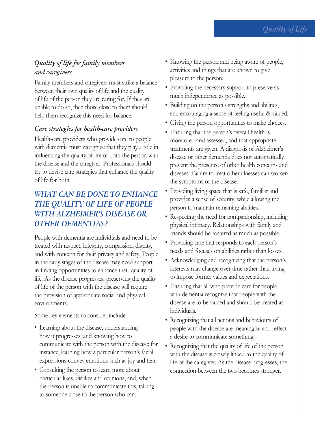## *Quality of life for family members and caregivers*

Family members and caregivers must strike a balance between their own quality of life and the quality of life of the person they are caring for. If they are unable to do so, then those close to them should help them recognize this need for balance.

### *Care strategies for health-care providers*

Health-care providers who provide care to people with dementia must recognize that they play a role in influencing the quality of life of both the person with the disease and the caregiver. Professionals should try to devise care strategies that enhance the quality of life for both.

# *WHAT CAN BE DONE TO ENHANCE THE QUALITY OF LIFE OF PEOPLE WITH ALZHEIMER'S DISEASE OR OTHER DEMENTIAS?*

People with dementia are individuals and need to be treated with respect, integrity, compassion, dignity, and with concern for their privacy and safety. People in the early stages of the disease may need support in finding opportunities to enhance their quality of life. As the disease progresses, preserving the quality of life of the person with the disease will require the provision of appropriate social and physical environments.

Some key elements to consider include:

- Learning about the disease, understanding how it progresses, and knowing how to communicate with the person with the disease; for instance, learning how a particular person's facial expressions convey emotions such as joy and fear.
- Consulting the person to learn more about particular likes, dislikes and opinions; and, when the person is unable to communicate this, talking to someone close to the person who can.
- Knowing the person and being aware of people, activities and things that are known to give pleasure to the person.
- Providing the necessary support to preserve as much independence as possible.
- Building on the person's strengths and abilities, and encouraging a sense of feeling useful & valued.
- Giving the person opportunities to make choices.
- Ensuring that the person's overall health is monitored and assessed, and that appropriate treatments are given. A diagnosis of Alzheimer's disease or other dementia does not automatically prevent the presence of other health concerns and diseases. Failure to treat other illnesses can worsen the symptoms of the disease.
- Providing living space that is safe, familiar and provides a sense of security, while allowing the person to maintain remaining abilities.
- Respecting the need for companionship, including physical intimacy. Relationships with family and friends should be fostered as much as possible.
- Providing care that responds to each person's needs and focuses on abilities rather than losses.
- Acknowledging and recognizing that the person's interests may change over time rather than trying to impose former values and expectations.
- Ensuring that all who provide care for people with dementia recognize that people with the disease are to be valued and should be treated as individuals.
- Recognizing that all actions and behaviours of people with the disease are meaningful and reflect a desire to communicate something.
- Recognizing that the quality of life of the person with the disease is closely linked to the quality of life of the caregiver. As the disease progresses, the connection between the two becomes stronger.